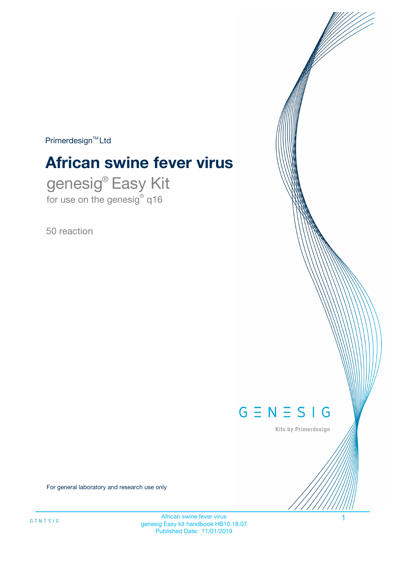$Primerdesign^{\text{TM}}Ltd$ 

# **African swine fever virus**

genesig® Easy Kit for use on the genesig® q16

50 reaction



Kits by Primerdesign

For general laboratory and research use only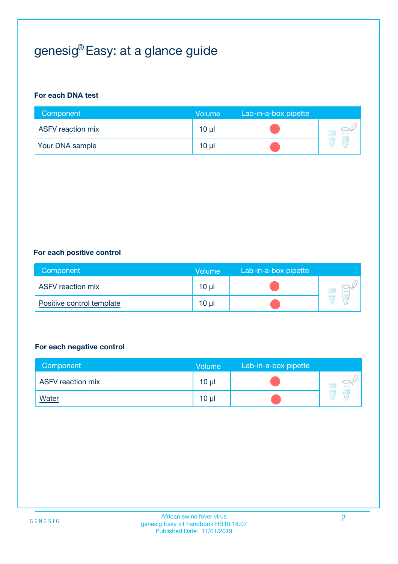# genesig® Easy: at a glance guide

#### **For each DNA test**

| Component                | <b>Volume</b> | Lab-in-a-box pipette |  |
|--------------------------|---------------|----------------------|--|
| <b>ASFV</b> reaction mix | $10 \mu$      |                      |  |
| <b>Your DNA sample</b>   | $10 \mu$      |                      |  |

#### **For each positive control**

| Component                 | Volume          | Lab-in-a-box pipette |  |
|---------------------------|-----------------|----------------------|--|
| <b>ASFV</b> reaction mix  | 10 <sub>µ</sub> |                      |  |
| Positive control template | 10 <sub>µ</sub> |                      |  |

#### **For each negative control**

| Component                | <b>Volume</b>   | Lab-in-a-box pipette |  |
|--------------------------|-----------------|----------------------|--|
| <b>ASFV</b> reaction mix | 10 <sub>µ</sub> |                      |  |
| <b>Water</b>             | 10 <sub>µ</sub> |                      |  |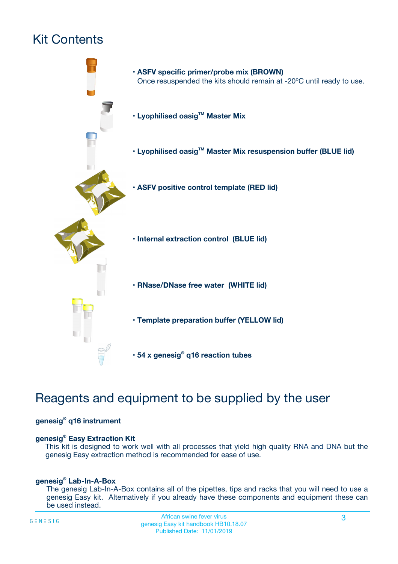# Kit Contents



# Reagents and equipment to be supplied by the user

#### **genesig® q16 instrument**

#### **genesig® Easy Extraction Kit**

This kit is designed to work well with all processes that yield high quality RNA and DNA but the genesig Easy extraction method is recommended for ease of use.

#### **genesig® Lab-In-A-Box**

The genesig Lab-In-A-Box contains all of the pipettes, tips and racks that you will need to use a genesig Easy kit. Alternatively if you already have these components and equipment these can be used instead.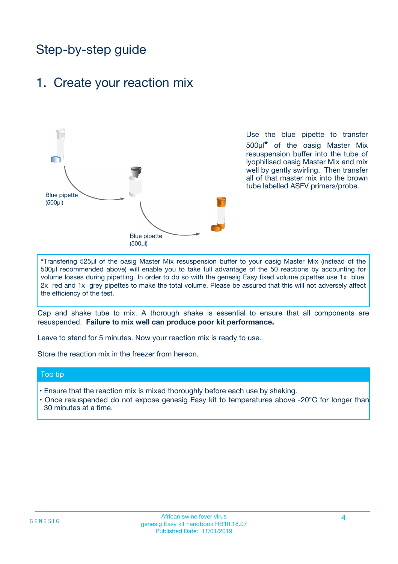# Step-by-step guide

## 1. Create your reaction mix



Use the blue pipette to transfer 500µl**\*** of the oasig Master Mix resuspension buffer into the tube of lyophilised oasig Master Mix and mix well by gently swirling. Then transfer all of that master mix into the brown tube labelled ASFV primers/probe.

**\***Transfering 525µl of the oasig Master Mix resuspension buffer to your oasig Master Mix (instead of the 500µl recommended above) will enable you to take full advantage of the 50 reactions by accounting for volume losses during pipetting. In order to do so with the genesig Easy fixed volume pipettes use 1x blue, 2x red and 1x grey pipettes to make the total volume. Please be assured that this will not adversely affect the efficiency of the test.

Cap and shake tube to mix. A thorough shake is essential to ensure that all components are resuspended. **Failure to mix well can produce poor kit performance.**

Leave to stand for 5 minutes. Now your reaction mix is ready to use.

Store the reaction mix in the freezer from hereon.

#### Top tip

- Ensure that the reaction mix is mixed thoroughly before each use by shaking.
- **•** Once resuspended do not expose genesig Easy kit to temperatures above -20°C for longer than 30 minutes at a time.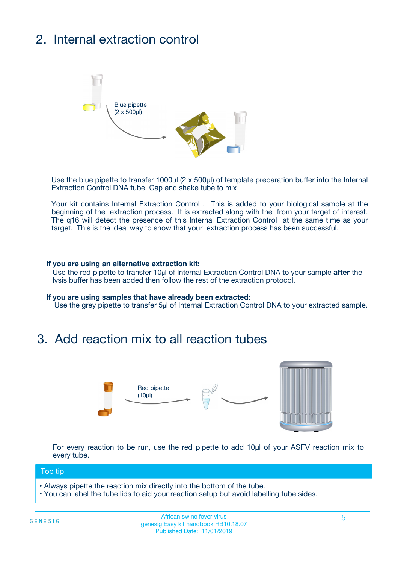# 2. Internal extraction control



Use the blue pipette to transfer 1000µl (2 x 500µl) of template preparation buffer into the Internal Extraction Control DNA tube. Cap and shake tube to mix.

Your kit contains Internal Extraction Control . This is added to your biological sample at the beginning of the extraction process. It is extracted along with the from your target of interest. The q16 will detect the presence of this Internal Extraction Control at the same time as your target. This is the ideal way to show that your extraction process has been successful.

#### **If you are using an alternative extraction kit:**

Use the red pipette to transfer 10µl of Internal Extraction Control DNA to your sample **after** the lysis buffer has been added then follow the rest of the extraction protocol.

#### **If you are using samples that have already been extracted:**

Use the grey pipette to transfer 5µl of Internal Extraction Control DNA to your extracted sample.

## 3. Add reaction mix to all reaction tubes



For every reaction to be run, use the red pipette to add 10µl of your ASFV reaction mix to every tube.

#### Top tip

- Always pipette the reaction mix directly into the bottom of the tube.
- You can label the tube lids to aid your reaction setup but avoid labelling tube sides.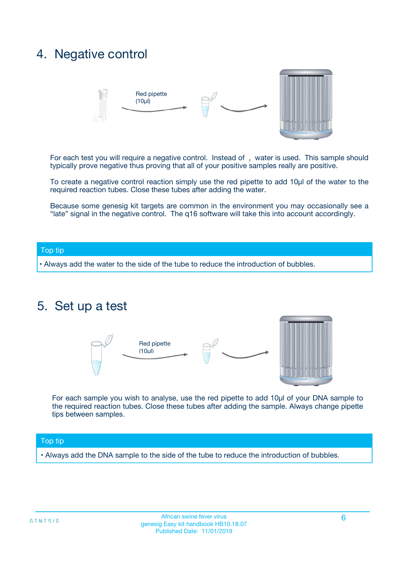# 4. Negative control



For each test you will require a negative control. Instead of , water is used. This sample should typically prove negative thus proving that all of your positive samples really are positive.

To create a negative control reaction simply use the red pipette to add 10µl of the water to the required reaction tubes. Close these tubes after adding the water.

Because some genesig kit targets are common in the environment you may occasionally see a "late" signal in the negative control. The q16 software will take this into account accordingly.

#### Top tip

**•** Always add the water to the side of the tube to reduce the introduction of bubbles.

## 5. Set up a test



For each sample you wish to analyse, use the red pipette to add 10µl of your DNA sample to the required reaction tubes. Close these tubes after adding the sample. Always change pipette tips between samples.

#### Top tip

**•** Always add the DNA sample to the side of the tube to reduce the introduction of bubbles.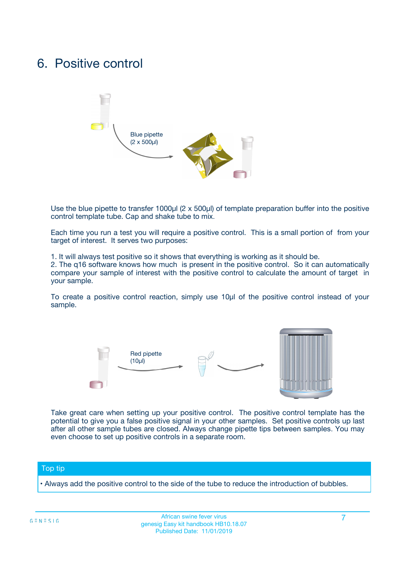# 6. Positive control



Use the blue pipette to transfer 1000µl (2 x 500µl) of template preparation buffer into the positive control template tube. Cap and shake tube to mix.

Each time you run a test you will require a positive control. This is a small portion of from your target of interest. It serves two purposes:

1. It will always test positive so it shows that everything is working as it should be.

2. The q16 software knows how much is present in the positive control. So it can automatically compare your sample of interest with the positive control to calculate the amount of target in your sample.

To create a positive control reaction, simply use 10µl of the positive control instead of your sample.



Take great care when setting up your positive control. The positive control template has the potential to give you a false positive signal in your other samples. Set positive controls up last after all other sample tubes are closed. Always change pipette tips between samples. You may even choose to set up positive controls in a separate room.

#### Top tip

**•** Always add the positive control to the side of the tube to reduce the introduction of bubbles.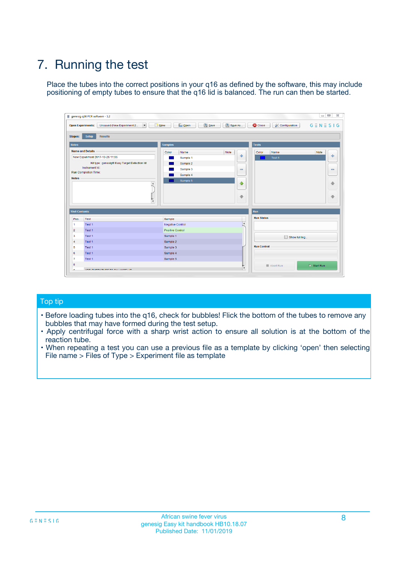# 7. Running the test

Place the tubes into the correct positions in your q16 as defined by the software, this may include positioning of empty tubes to ensure that the q16 lid is balanced. The run can then be started.

|                      | genesig q16 PCR software - 1.2                                               |                                |                              |                                          | $\begin{array}{c c c c} \hline \multicolumn{3}{c }{\textbf{0}} & \multicolumn{3}{c }{\textbf{0}} \end{array}$<br>$\Sigma\!3$ |
|----------------------|------------------------------------------------------------------------------|--------------------------------|------------------------------|------------------------------------------|------------------------------------------------------------------------------------------------------------------------------|
|                      | $\vert \cdot \vert$<br><b>Open Experiments:</b><br>Unsaved (New Experiment 2 | Open<br>Save<br>$\sqrt{9}$ New | Save As                      | <b>C</b> Close<br><b>X</b> Configuration | $G \equiv N \equiv S \mid G$                                                                                                 |
| <b>Stages:</b>       | Setup<br><b>Results</b>                                                      |                                |                              |                                          |                                                                                                                              |
| <b>Notes</b>         |                                                                              | <b>Samples</b>                 |                              | <b>Tests</b>                             |                                                                                                                              |
|                      | <b>Name and Details</b>                                                      | Color<br>Name                  | Note                         | Color<br>Name                            | Note                                                                                                                         |
|                      | New Experiment 2017-10-26 11:06                                              | Sample 1                       | ÷                            | Test 1                                   | ÷                                                                                                                            |
|                      | Kit type: genesig® Easy Target Detection kit                                 | Sample 2                       |                              |                                          |                                                                                                                              |
|                      | Instrument Id.:                                                              | Sample 3                       | $\qquad \qquad \blacksquare$ |                                          | $\qquad \qquad \blacksquare$                                                                                                 |
|                      | <b>Run Completion Time:</b>                                                  | Sample 4                       |                              |                                          |                                                                                                                              |
| <b>Notes</b>         | <b>A</b><br>v                                                                | Sample 5                       | $\triangle$<br>$\oplus$      |                                          | 4<br>₩                                                                                                                       |
| <b>Well Contents</b> |                                                                              |                                |                              | Run                                      |                                                                                                                              |
| Pos.                 | Test                                                                         | Sample                         |                              | <b>Run Status</b>                        |                                                                                                                              |
| $\overline{1}$       | Test 1                                                                       | <b>Negative Control</b>        | $\blacktriangle$             |                                          |                                                                                                                              |
| $\overline{2}$       | Test 1                                                                       | <b>Positive Control</b>        |                              |                                          |                                                                                                                              |
| 3                    | Test 1                                                                       | Sample 1                       |                              | Show full log                            |                                                                                                                              |
| $\overline{4}$       | Test 1                                                                       | Sample 2                       |                              |                                          |                                                                                                                              |
| 5                    | Test 1                                                                       | Sample 3                       |                              | <b>Run Control</b>                       |                                                                                                                              |
| 6                    | Test 1                                                                       | Sample 4                       |                              |                                          |                                                                                                                              |
| $\overline{7}$       | Test 1                                                                       | Sample 5                       |                              |                                          |                                                                                                                              |
| -8                   |                                                                              |                                |                              | Abort Run                                | $\triangleright$ Start Run                                                                                                   |
|                      | <b>JOB FURTY TURE TO BULLMAR LIB</b>                                         |                                | $\overline{\mathbf{v}}$      |                                          |                                                                                                                              |

#### Top tip

- Before loading tubes into the q16, check for bubbles! Flick the bottom of the tubes to remove any bubbles that may have formed during the test setup.
- Apply centrifugal force with a sharp wrist action to ensure all solution is at the bottom of the reaction tube.
- When repeating a test you can use a previous file as a template by clicking 'open' then selecting File name > Files of Type > Experiment file as template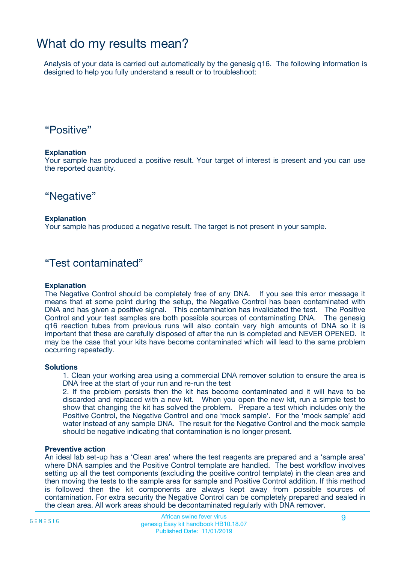# What do my results mean?

Analysis of your data is carried out automatically by the genesig q16. The following information is designed to help you fully understand a result or to troubleshoot:

### "Positive"

#### **Explanation**

Your sample has produced a positive result. Your target of interest is present and you can use the reported quantity.

"Negative"

#### **Explanation**

Your sample has produced a negative result. The target is not present in your sample.

### "Test contaminated"

#### **Explanation**

The Negative Control should be completely free of any DNA. If you see this error message it means that at some point during the setup, the Negative Control has been contaminated with DNA and has given a positive signal. This contamination has invalidated the test. The Positive Control and your test samples are both possible sources of contaminating DNA. The genesig q16 reaction tubes from previous runs will also contain very high amounts of DNA so it is important that these are carefully disposed of after the run is completed and NEVER OPENED. It may be the case that your kits have become contaminated which will lead to the same problem occurring repeatedly.

#### **Solutions**

1. Clean your working area using a commercial DNA remover solution to ensure the area is DNA free at the start of your run and re-run the test

2. If the problem persists then the kit has become contaminated and it will have to be discarded and replaced with a new kit. When you open the new kit, run a simple test to show that changing the kit has solved the problem. Prepare a test which includes only the Positive Control, the Negative Control and one 'mock sample'. For the 'mock sample' add water instead of any sample DNA. The result for the Negative Control and the mock sample should be negative indicating that contamination is no longer present.

#### **Preventive action**

An ideal lab set-up has a 'Clean area' where the test reagents are prepared and a 'sample area' where DNA samples and the Positive Control template are handled. The best workflow involves setting up all the test components (excluding the positive control template) in the clean area and then moving the tests to the sample area for sample and Positive Control addition. If this method is followed then the kit components are always kept away from possible sources of contamination. For extra security the Negative Control can be completely prepared and sealed in the clean area. All work areas should be decontaminated regularly with DNA remover.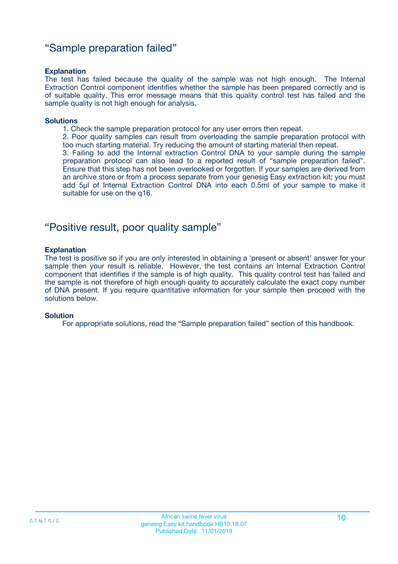### "Sample preparation failed"

#### **Explanation**

The test has failed because the quality of the sample was not high enough. The Internal Extraction Control component identifies whether the sample has been prepared correctly and is of suitable quality. This error message means that this quality control test has failed and the sample quality is not high enough for analysis.

#### **Solutions**

1. Check the sample preparation protocol for any user errors then repeat.

2. Poor quality samples can result from overloading the sample preparation protocol with too much starting material. Try reducing the amount of starting material then repeat.

3. Failing to add the Internal extraction Control DNA to your sample during the sample preparation protocol can also lead to a reported result of "sample preparation failed". Ensure that this step has not been overlooked or forgotten. If your samples are derived from an archive store or from a process separate from your genesig Easy extraction kit; you must add 5µl of Internal Extraction Control DNA into each 0.5ml of your sample to make it suitable for use on the q16.

### "Positive result, poor quality sample"

#### **Explanation**

The test is positive so if you are only interested in obtaining a 'present or absent' answer for your sample then your result is reliable. However, the test contains an Internal Extraction Control component that identifies if the sample is of high quality. This quality control test has failed and the sample is not therefore of high enough quality to accurately calculate the exact copy number of DNA present. If you require quantitative information for your sample then proceed with the solutions below.

#### **Solution**

For appropriate solutions, read the "Sample preparation failed" section of this handbook.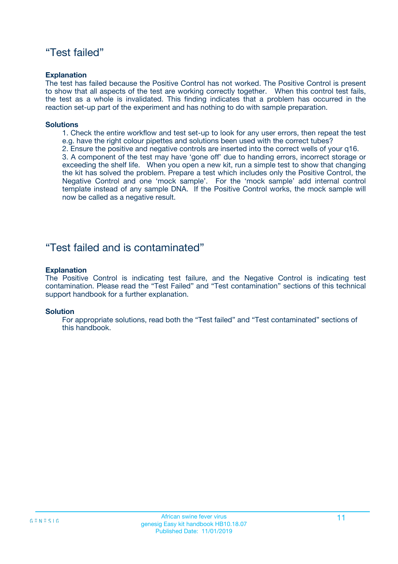### "Test failed"

#### **Explanation**

The test has failed because the Positive Control has not worked. The Positive Control is present to show that all aspects of the test are working correctly together. When this control test fails, the test as a whole is invalidated. This finding indicates that a problem has occurred in the reaction set-up part of the experiment and has nothing to do with sample preparation.

#### **Solutions**

- 1. Check the entire workflow and test set-up to look for any user errors, then repeat the test e.g. have the right colour pipettes and solutions been used with the correct tubes?
- 2. Ensure the positive and negative controls are inserted into the correct wells of your q16.

3. A component of the test may have 'gone off' due to handing errors, incorrect storage or exceeding the shelf life. When you open a new kit, run a simple test to show that changing the kit has solved the problem. Prepare a test which includes only the Positive Control, the Negative Control and one 'mock sample'. For the 'mock sample' add internal control template instead of any sample DNA. If the Positive Control works, the mock sample will now be called as a negative result.

### "Test failed and is contaminated"

#### **Explanation**

The Positive Control is indicating test failure, and the Negative Control is indicating test contamination. Please read the "Test Failed" and "Test contamination" sections of this technical support handbook for a further explanation.

#### **Solution**

For appropriate solutions, read both the "Test failed" and "Test contaminated" sections of this handbook.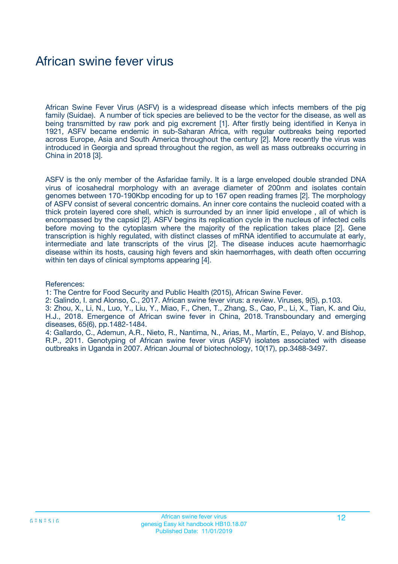# African swine fever virus

African Swine Fever Virus (ASFV) is a widespread disease which infects members of the pig family (Suidae). A number of tick species are believed to be the vector for the disease, as well as being transmitted by raw pork and pig excrement [1]. After firstly being identified in Kenya in 1921, ASFV became endemic in sub-Saharan Africa, with regular outbreaks being reported across Europe, Asia and South America throughout the century [2]. More recently the virus was introduced in Georgia and spread throughout the region, as well as mass outbreaks occurring in China in 2018 [3].

ASFV is the only member of the Asfaridae family. It is a large enveloped double stranded DNA virus of icosahedral morphology with an average diameter of 200nm and isolates contain genomes between 170-190Kbp encoding for up to 167 open reading frames [2]. The morphology of ASFV consist of several concentric domains. An inner core contains the nucleoid coated with a thick protein layered core shell, which is surrounded by an inner lipid envelope , all of which is encompassed by the capsid [2]. ASFV begins its replication cycle in the nucleus of infected cells before moving to the cytoplasm where the majority of the replication takes place [2]. Gene transcription is highly regulated, with distinct classes of mRNA identified to accumulate at early, intermediate and late transcripts of the virus [2]. The disease induces acute haemorrhagic disease within its hosts, causing high fevers and skin haemorrhages, with death often occurring within ten days of clinical symptoms appearing [4].

#### References:

1: The Centre for Food Security and Public Health (2015), African Swine Fever.

2: Galindo, I. and Alonso, C., 2017. African swine fever virus: a review. Viruses, 9(5), p.103.

3: Zhou, X., Li, N., Luo, Y., Liu, Y., Miao, F., Chen, T., Zhang, S., Cao, P., Li, X., Tian, K. and Qiu, H.J., 2018. Emergence of African swine fever in China, 2018. Transboundary and emerging diseases, 65(6), pp.1482-1484.

4: Gallardo, C., Ademun, A.R., Nieto, R., Nantima, N., Arias, M., Martín, E., Pelayo, V. and Bishop, R.P., 2011. Genotyping of African swine fever virus (ASFV) isolates associated with disease outbreaks in Uganda in 2007. African Journal of biotechnology, 10(17), pp.3488-3497.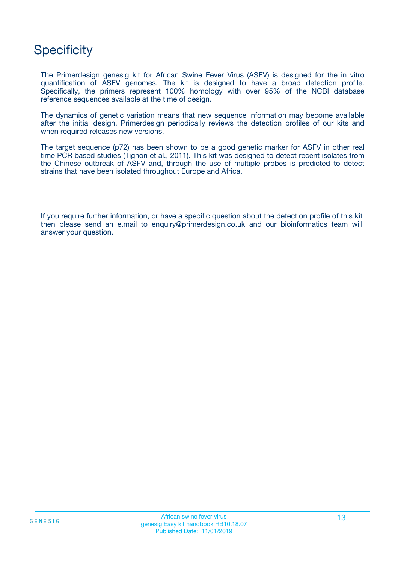# **Specificity**

The Primerdesign genesig kit for African Swine Fever Virus (ASFV) is designed for the in vitro quantification of ASFV genomes. The kit is designed to have a broad detection profile. Specifically, the primers represent 100% homology with over 95% of the NCBI database reference sequences available at the time of design.

The dynamics of genetic variation means that new sequence information may become available after the initial design. Primerdesign periodically reviews the detection profiles of our kits and when required releases new versions.

The target sequence (p72) has been shown to be a good genetic marker for ASFV in other real time PCR based studies (Tignon et al., 2011). This kit was designed to detect recent isolates from the Chinese outbreak of ASFV and, through the use of multiple probes is predicted to detect strains that have been isolated throughout Europe and Africa.

If you require further information, or have a specific question about the detection profile of this kit then please send an e.mail to enquiry@primerdesign.co.uk and our bioinformatics team will answer your question.